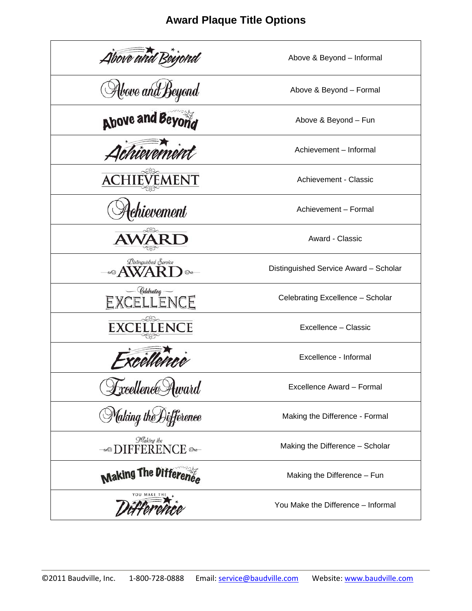# **Award Plaque Title Options**

| Above and                                            | Above & Beyond - Informal             |
|------------------------------------------------------|---------------------------------------|
| Alove and Beyond                                     | Above & Beyond - Formal               |
| Above and Beyond                                     | Above & Beyond - Fun                  |
|                                                      | Achievement - Informal                |
| EMENT                                                | Achievement - Classic                 |
| chievement                                           | Achievement - Formal                  |
|                                                      | Award - Classic                       |
| <b><i>Distinguished</i></b> Service<br>$\mathscr{A}$ | Distinguished Service Award - Scholar |
| Celebrating<br>CELLENCE                              | Celebrating Excellence - Scholar      |
| <b>ENCE</b>                                          | Excellence - Classic                  |
|                                                      | Excellence - Informal                 |
| Lxcellence Award                                     | Excellence Award - Formal             |
| Making the Difference                                | Making the Difference - Formal        |
| Making the<br>DIFFERENCE                             | Making the Difference - Scholar       |
| Making The Difference                                | Making the Difference - Fun           |
|                                                      | You Make the Difference - Informal    |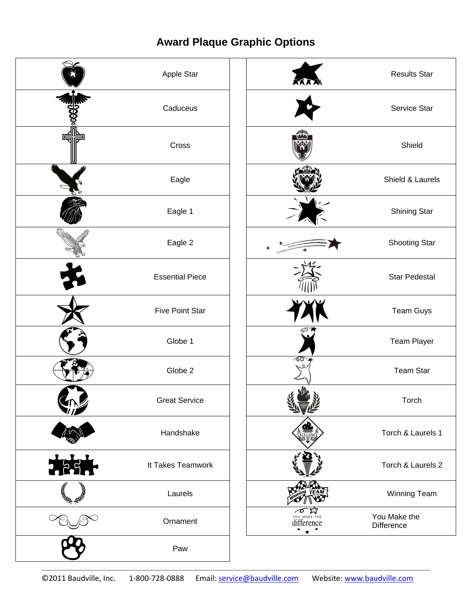# **Award Plaque Graphic Options**